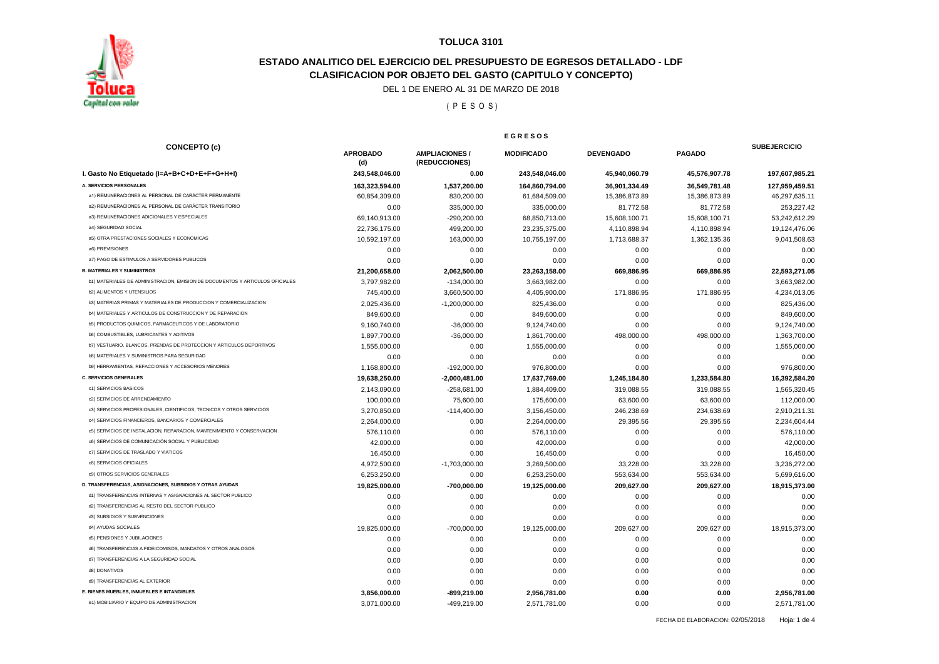

## **ESTADO ANALITICO DEL EJERCICIO DEL PRESUPUESTO DE EGRESOS DETALLADO - LDF CLASIFICACION POR OBJETO DEL GASTO (CAPITULO Y CONCEPTO)**

DEL 1 DE ENERO AL 31 DE MARZO DE 2018

( P E S O S )

**E G R E S O S**

|                                                                               | E U R E J U J          |                                        |                   |                  |               |                     |
|-------------------------------------------------------------------------------|------------------------|----------------------------------------|-------------------|------------------|---------------|---------------------|
| <b>CONCEPTO (c)</b>                                                           | <b>APROBADO</b><br>(d) | <b>AMPLIACIONES /</b><br>(REDUCCIONES) | <b>MODIFICADO</b> | <b>DEVENGADO</b> | <b>PAGADO</b> | <b>SUBEJERCICIO</b> |
| I. Gasto No Etiquetado (I=A+B+C+D+E+F+G+H+I)                                  | 243,548,046.00         | 0.00                                   | 243,548,046.00    | 45,940,060.79    | 45,576,907.78 | 197,607,985.21      |
| A. SERVICIOS PERSONALES                                                       | 163,323,594.00         | 1,537,200.00                           | 164,860,794.00    | 36,901,334.49    | 36,549,781.48 | 127,959,459.51      |
| a1) REMUNERACIONES AL PERSONAL DE CARÁCTER PERMANENTE                         | 60,854,309.00          | 830,200.00                             | 61,684,509.00     | 15,386,873.89    | 15,386,873.89 | 46,297,635.11       |
| a2) REMUNERACIONES AL PERSONAL DE CARÁCTER TRANSITORIO                        | 0.00                   | 335,000.00                             | 335,000.00        | 81,772.58        | 81,772.58     | 253,227.42          |
| a3) REMUNERACIONES ADICIONALES Y ESPECIALES                                   | 69,140,913.00          | -290,200.00                            | 68,850,713.00     | 15,608,100.71    | 15,608,100.71 | 53,242,612.29       |
| a4) SEGURIDAD SOCIAL                                                          | 22,736,175.00          | 499,200.00                             | 23,235,375.00     | 4,110,898.94     | 4,110,898.94  | 19,124,476.06       |
| a5) OTRA PRESTACIONES SOCIALES Y ECONOMICAS                                   | 10,592,197.00          | 163,000.00                             | 10,755,197.00     | 1,713,688.37     | 1,362,135.36  | 9,041,508.63        |
| a6) PREVISIONES                                                               | 0.00                   | 0.00                                   | 0.00              | 0.00             | 0.00          | 0.00                |
| a7) PAGO DE ESTIMULOS A SERVIDORES PUBLICOS                                   | 0.00                   | 0.00                                   | 0.00              | 0.00             | 0.00          | 0.00                |
| <b>B. MATERIALES Y SUMINISTROS</b>                                            | 21,200,658.00          | 2,062,500.00                           | 23,263,158.00     | 669,886.95       | 669,886.95    | 22,593,271.05       |
| b1) MATERIALES DE ADMINISTRACION, EMISION DE DOCUMENTOS Y ARTICULOS OFICIALES | 3,797,982.00           | $-134,000.00$                          | 3,663,982.00      | 0.00             | 0.00          | 3,663,982.00        |
| <b>b2) ALIMENTOS Y UTENSILIOS</b>                                             | 745,400.00             | 3,660,500.00                           | 4,405,900.00      | 171,886.95       | 171,886.95    | 4.234.013.05        |
| b3) MATERIAS PRIMAS Y MATERIALES DE PRODUCCION Y COMERCIALIZACION             | 2,025,436.00           | $-1,200,000.00$                        | 825,436.00        | 0.00             | 0.00          | 825,436.00          |
| b4) MATERIALES Y ARTICULOS DE CONSTRUCCION Y DE REPARACION                    | 849,600.00             | 0.00                                   | 849,600.00        | 0.00             | 0.00          | 849,600.00          |
| b5) PRODUCTOS QUIMICOS, FARMACEUTICOS Y DE LABORATORIO                        | 9,160,740.00           | $-36,000.00$                           | 9,124,740.00      | 0.00             | 0.00          | 9,124,740.00        |
| <b>b6) COMBUSTIBLES, LUBRICANTES Y ADITIVOS</b>                               | 1,897,700.00           | $-36,000.00$                           | 1,861,700.00      | 498,000.00       | 498,000.00    | 1,363,700.00        |
| b7) VESTUARIO, BLANCOS, PRENDAS DE PROTECCION Y ARTICULOS DEPORTIVOS          | 1,555,000.00           | 0.00                                   | 1,555,000.00      | 0.00             | 0.00          | 1,555,000.00        |
| <b>b8) MATERIALES Y SUMINISTROS PARA SEGURIDAD</b>                            | 0.00                   | 0.00                                   | 0.00              | 0.00             | 0.00          | 0.00                |
| b9) HERRAMIENTAS, REFACCIONES Y ACCESORIOS MENORES                            | 1,168,800.00           | $-192,000.00$                          | 976,800.00        | 0.00             | 0.00          | 976,800.00          |
| <b>C. SERVICIOS GENERALES</b>                                                 | 19,638,250.00          | $-2,000,481.00$                        | 17,637,769.00     | 1,245,184.80     | 1,233,584.80  | 16,392,584.20       |
| c1) SERVICIOS BASICOS                                                         | 2,143,090.00           | $-258,681.00$                          | 1,884,409.00      | 319,088.55       | 319,088.55    | 1,565,320.45        |
| c2) SERVICIOS DE ARRENDAMIENTO                                                | 100,000.00             | 75,600.00                              | 175,600.00        | 63,600.00        | 63,600.00     | 112,000.00          |
| c3) SERVICIOS PROFESIONALES, CIENTIFICOS, TECNICOS Y OTROS SERVICIOS          | 3,270,850.00           | $-114,400.00$                          | 3,156,450.00      | 246,238.69       | 234,638.69    | 2,910,211.31        |
| c4) SERVICIOS FINANCIEROS, BANCARIOS Y COMERCIALES                            | 2,264,000.00           | 0.00                                   | 2,264,000.00      | 29,395.56        | 29,395.56     | 2,234,604.44        |
| c5) SERVICIOS DE INSTALACION, REPARACION, MANTENIMIENTO Y CONSERVACION        | 576,110.00             | 0.00                                   | 576,110.00        | 0.00             | 0.00          | 576,110.00          |
| c6) SERVICIOS DE COMUNICACIÓN SOCIAL Y PUBLICIDAD                             | 42,000.00              | 0.00                                   | 42,000.00         | 0.00             | 0.00          | 42,000.00           |
| c7) SERVICIOS DE TRASLADO Y VIATICOS                                          | 16,450.00              | 0.00                                   | 16,450.00         | 0.00             | 0.00          | 16,450.00           |
| c8) SERVICIOS OFICIALES                                                       | 4,972,500.00           | $-1,703,000.00$                        | 3,269,500.00      | 33,228.00        | 33,228.00     | 3,236,272.00        |
| c9) OTROS SERVICIOS GENERALES                                                 | 6,253,250.00           | 0.00                                   | 6,253,250.00      | 553,634.00       | 553,634.00    | 5,699,616.00        |
| D. TRANSFERENCIAS, ASIGNACIONES, SUBSIDIOS Y OTRAS AYUDAS                     | 19,825,000.00          | -700,000.00                            | 19,125,000.00     | 209,627.00       | 209,627.00    | 18,915,373.00       |
| d1) TRANSFERENCIAS INTERNAS Y ASIGNACIONES AL SECTOR PUBLICO                  | 0.00                   | 0.00                                   | 0.00              | 0.00             | 0.00          | 0.00                |
| d2) TRANSFERENCIAS AL RESTO DEL SECTOR PUBLICO                                | 0.00                   | 0.00                                   | 0.00              | 0.00             | 0.00          | 0.00                |
| d3) SUBSIDIOS Y SUBVENCIONES                                                  | 0.00                   | 0.00                                   | 0.00              | 0.00             | 0.00          | 0.00                |
| d4) AYUDAS SOCIALES                                                           | 19,825,000.00          | $-700,000.00$                          | 19,125,000.00     | 209,627.00       | 209,627.00    | 18,915,373.00       |
| d5) PENSIONES Y JUBILACIONES                                                  | 0.00                   | 0.00                                   | 0.00              | 0.00             | 0.00          | 0.00                |
| d6) TRANSFERENCIAS A FIDEICOMISOS, MANDATOS Y OTROS ANALOGOS                  | 0.00                   | 0.00                                   | 0.00              | 0.00             | 0.00          | 0.00                |
| d7) TRANSFERENCIAS A LA SEGURIDAD SOCIAL                                      | 0.00                   | 0.00                                   | 0.00              | 0.00             | 0.00          | 0.00                |
| d8) DONATIVOS                                                                 | 0.00                   | 0.00                                   | 0.00              | 0.00             | 0.00          | 0.00                |
| d9) TRANSFERENCIAS AL EXTERIOR                                                | 0.00                   | 0.00                                   | 0.00              | 0.00             | 0.00          | 0.00                |
| E. BIENES MUEBLES, INMUEBLES E INTANGIBLES                                    | 3,856,000.00           | $-899.219.00$                          | 2,956,781.00      | 0.00             | 0.00          | 2.956.781.00        |
| e1) MOBILIARIO Y EQUIPO DE ADMINISTRACION                                     | 3,071,000.00           | -499,219.00                            | 2,571,781.00      | 0.00             | 0.00          | 2,571,781.00        |

FECHA DE ELABORACION: 02/05/2018 Hoja: 1 de 4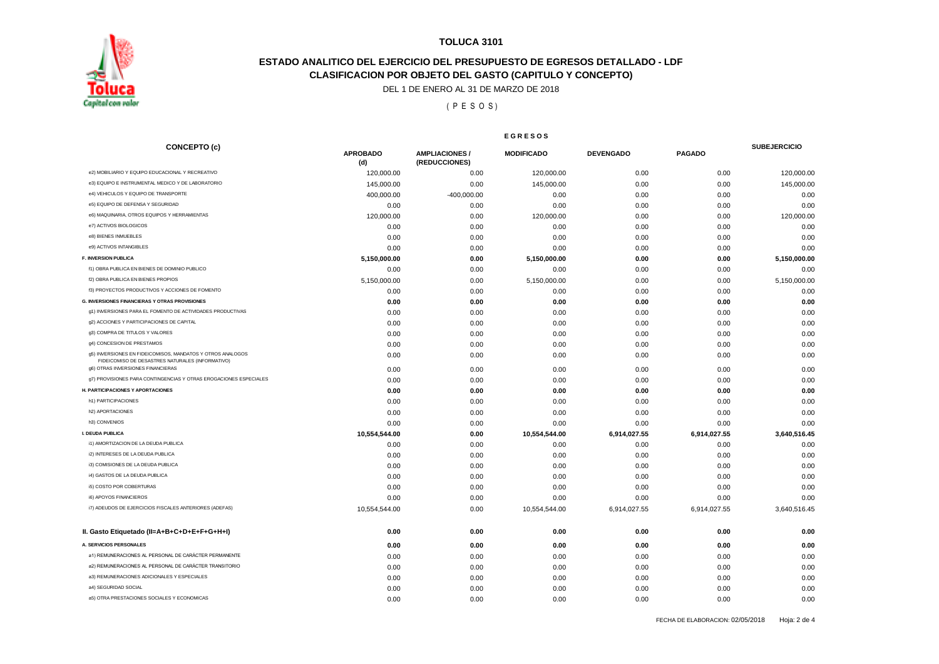

## **ESTADO ANALITICO DEL EJERCICIO DEL PRESUPUESTO DE EGRESOS DETALLADO - LDF CLASIFICACION POR OBJETO DEL GASTO (CAPITULO Y CONCEPTO)**

DEL 1 DE ENERO AL 31 DE MARZO DE 2018

( P E S O S )

|                                                                                                                | <b>EGRESOS</b>         |                                       |                   |                  |               |                     |
|----------------------------------------------------------------------------------------------------------------|------------------------|---------------------------------------|-------------------|------------------|---------------|---------------------|
| <b>CONCEPTO (c)</b>                                                                                            | <b>APROBADO</b><br>(d) | <b>AMPLIACIONES/</b><br>(REDUCCIONES) | <b>MODIFICADO</b> | <b>DEVENGADO</b> | <b>PAGADO</b> | <b>SUBEJERCICIO</b> |
| e2) MOBILIARIO Y EQUIPO EDUCACIONAL Y RECREATIVO                                                               | 120,000.00             | 0.00                                  | 120,000.00        | 0.00             | 0.00          | 120,000.00          |
| e3) EQUIPO E INSTRUMENTAL MEDICO Y DE LABORATORIO                                                              | 145,000.00             | 0.00                                  | 145,000.00        | 0.00             | 0.00          | 145,000.00          |
| e4) VEHICULOS Y EQUIPO DE TRANSPORTE                                                                           | 400,000.00             | $-400,000.00$                         | 0.00              | 0.00             | 0.00          | 0.00                |
| e5) EQUIPO DE DEFENSA Y SEGURIDAD                                                                              | 0.00                   | 0.00                                  | 0.00              | 0.00             | 0.00          | 0.00                |
| e6) MAQUINARIA, OTROS EQUIPOS Y HERRAMIENTAS                                                                   | 120,000.00             | 0.00                                  | 120,000.00        | 0.00             | 0.00          | 120,000.00          |
| e7) ACTIVOS BIOLOGICOS                                                                                         | 0.00                   | 0.00                                  | 0.00              | 0.00             | 0.00          | 0.00                |
| e8) BIENES INMUEBLES                                                                                           | 0.00                   | 0.00                                  | 0.00              | 0.00             | 0.00          | 0.00                |
| e9) ACTIVOS INTANGIBLES                                                                                        | 0.00                   | 0.00                                  | 0.00              | 0.00             | 0.00          | 0.00                |
| <b>F. INVERSION PUBLICA</b>                                                                                    | 5,150,000.00           | 0.00                                  | 5,150,000.00      | 0.00             | 0.00          | 5,150,000.00        |
| f1) OBRA PUBLICA EN BIENES DE DOMINIO PUBLICO                                                                  | 0.00                   | 0.00                                  | 0.00              | 0.00             | 0.00          | 0.00                |
| f2) OBRA PUBLICA EN BIENES PROPIOS                                                                             | 5,150,000.00           | 0.00                                  | 5,150,000.00      | 0.00             | 0.00          | 5,150,000.00        |
| f3) PROYECTOS PRODUCTIVOS Y ACCIONES DE FOMENTO                                                                | 0.00                   | 0.00                                  | 0.00              | 0.00             | 0.00          | 0.00                |
| <b>G. INVERSIONES FINANCIERAS Y OTRAS PROVISIONES</b>                                                          | 0.00                   | 0.00                                  | 0.00              | 0.00             | 0.00          | 0.00                |
| g1) INVERSIONES PARA EL FOMENTO DE ACTIVIDADES PRODUCTIVAS                                                     | 0.00                   | 0.00                                  | 0.00              | 0.00             | 0.00          | 0.00                |
| g2) ACCIONES Y PARTICIPACIONES DE CAPITAL                                                                      | 0.00                   | 0.00                                  | 0.00              | 0.00             | 0.00          | 0.00                |
| g3) COMPRA DE TITULOS Y VALORES                                                                                | 0.00                   | 0.00                                  | 0.00              | 0.00             | 0.00          | 0.00                |
| g4) CONCESION DE PRESTAMOS                                                                                     | 0.00                   | 0.00                                  | 0.00              | 0.00             | 0.00          | 0.00                |
| g5) INVERSIONES EN FIDEICOMISOS, MANDATOS Y OTROS ANALOGOS<br>FIDEICOMISO DE DESASTRES NATURALES (INFORMATIVO) | 0.00                   | 0.00                                  | 0.00              | 0.00             | 0.00          | 0.00                |
| g6) OTRAS INVERSIONES FINANCIERAS                                                                              | 0.00                   | 0.00                                  | 0.00              | 0.00             | 0.00          | 0.00                |
| g7) PROVISIONES PARA CONTINGENCIAS Y OTRAS EROGACIONES ESPECIALES                                              | 0.00                   | 0.00                                  | 0.00              | 0.00             | 0.00          | 0.00                |
| H. PARTICIPACIONES Y APORTACIONES                                                                              | 0.00                   | 0.00                                  | 0.00              | 0.00             | 0.00          | 0.00                |
| h1) PARTICIPACIONES                                                                                            | 0.00                   | 0.00                                  | 0.00              | 0.00             | 0.00          | 0.00                |
| h2) APORTACIONES                                                                                               | 0.00                   | 0.00                                  | 0.00              | 0.00             | 0.00          | 0.00                |
| h3) CONVENIOS                                                                                                  | 0.00                   | 0.00                                  | 0.00              | 0.00             | 0.00          | 0.00                |
| I. DEUDA PUBLICA                                                                                               | 10,554,544.00          | 0.00                                  | 10,554,544.00     | 6,914,027.55     | 6,914,027.55  | 3,640,516.45        |
| i1) AMORTIZACION DE LA DEUDA PUBLICA                                                                           | 0.00                   | 0.00                                  | 0.00              | 0.00             | 0.00          | 0.00                |
| i2) INTERESES DE LA DEUDA PUBLICA                                                                              | 0.00                   | 0.00                                  | 0.00              | 0.00             | 0.00          | 0.00                |
| i3) COMISIONES DE LA DEUDA PUBLICA                                                                             | 0.00                   | 0.00                                  | 0.00              | 0.00             | 0.00          | 0.00                |
| i4) GASTOS DE LA DEUDA PUBLICA                                                                                 | 0.00                   | 0.00                                  | 0.00              | 0.00             | 0.00          | 0.00                |
| i5) COSTO POR COBERTURAS                                                                                       | 0.00                   | 0.00                                  | 0.00              | 0.00             | 0.00          | 0.00                |
| i6) APOYOS FINANCIEROS                                                                                         | 0.00                   | 0.00                                  | 0.00              | 0.00             | 0.00          | 0.00                |
| i7) ADEUDOS DE EJERCICIOS FISCALES ANTERIORES (ADEFAS)                                                         | 10,554,544.00          | 0.00                                  | 10,554,544.00     | 6,914,027.55     | 6,914,027.55  | 3,640,516.45        |
| II. Gasto Etiquetado (II=A+B+C+D+E+F+G+H+I)                                                                    | 0.00                   | 0.00                                  | 0.00              | 0.00             | 0.00          | 0.00                |
| A. SERVICIOS PERSONALES                                                                                        | 0.00                   | 0.00                                  | 0.00              | 0.00             | 0.00          | 0.00                |
| a1) REMUNERACIONES AL PERSONAL DE CARÁCTER PERMANENTE                                                          | 0.00                   | 0.00                                  | 0.00              | 0.00             | 0.00          | 0.00                |
| a2) REMUNERACIONES AL PERSONAL DE CARÁCTER TRANSITORIO                                                         | 0.00                   | 0.00                                  | 0.00              | 0.00             | 0.00          | 0.00                |
| a3) REMUNERACIONES ADICIONALES Y ESPECIALES                                                                    | 0.00                   | 0.00                                  | 0.00              | 0.00             | 0.00          | 0.00                |
| a4) SEGURIDAD SOCIAL                                                                                           | 0.00                   | 0.00                                  | 0.00              | 0.00             | 0.00          | 0.00                |
| a5) OTRA PRESTACIONES SOCIALES Y ECONOMICAS                                                                    | 0.00                   | 0.00                                  | 0.00              | 0.00             | 0.00          | 0.00                |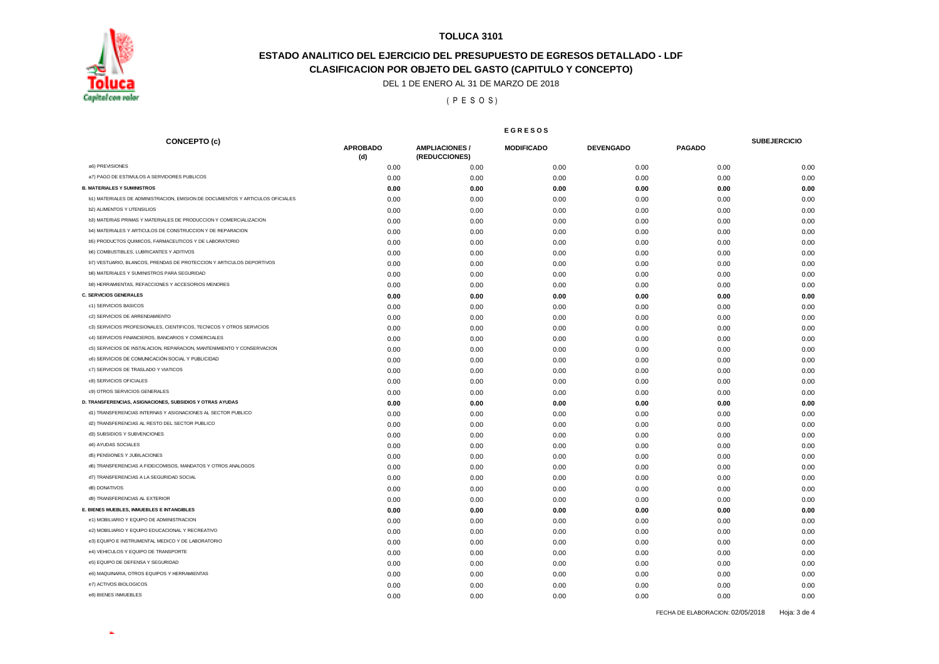

## **CLASIFICACION POR OBJETO DEL GASTO (CAPITULO Y CONCEPTO) ESTADO ANALITICO DEL EJERCICIO DEL PRESUPUESTO DE EGRESOS DETALLADO - LDF**

DEL 1 DE ENERO AL 31 DE MARZO DE 2018

( P E S O S )

#### **E G R E S O S**

| <b>CONCEPTO (c)</b>                                                           | <b>APROBADO</b> | <b>AMPLIACIONES /</b> | <b>MODIFICADO</b> | <b>DEVENGADO</b> | <b>PAGADO</b> | <b>SUBEJERCICIO</b> |
|-------------------------------------------------------------------------------|-----------------|-----------------------|-------------------|------------------|---------------|---------------------|
|                                                                               | (d)             | (REDUCCIONES)         |                   |                  |               |                     |
| a6) PREVISIONES                                                               | 0.00            | 0.00                  | 0.00              | 0.00             | 0.00          | 0.00                |
| a7) PAGO DE ESTIMULOS A SERVIDORES PUBLICOS                                   | 0.00            | 0.00                  | 0.00              | 0.00             | 0.00          | 0.00                |
| <b>B. MATERIALES Y SUMINISTROS</b>                                            | 0.00            | 0.00                  | 0.00              | 0.00             | 0.00          | 0.00                |
| b1) MATERIALES DE ADMINISTRACION, EMISION DE DOCUMENTOS Y ARTICULOS OFICIALES | 0.00            | 0.00                  | 0.00              | 0.00             | 0.00          | 0.00                |
| <b>b2) ALIMENTOS Y UTENSILIOS</b>                                             | 0.00            | 0.00                  | 0.00              | 0.00             | 0.00          | 0.00                |
| b3) MATERIAS PRIMAS Y MATERIALES DE PRODUCCION Y COMERCIALIZACION             | 0.00            | 0.00                  | 0.00              | 0.00             | 0.00          | 0.00                |
| b4) MATERIALES Y ARTICULOS DE CONSTRUCCION Y DE REPARACION                    | 0.00            | 0.00                  | 0.00              | 0.00             | 0.00          | 0.00                |
| b5) PRODUCTOS QUIMICOS, FARMACEUTICOS Y DE LABORATORIO                        | 0.00            | 0.00                  | 0.00              | 0.00             | 0.00          | 0.00                |
| b6) COMBUSTIBLES, LUBRICANTES Y ADITIVOS                                      | 0.00            | 0.00                  | 0.00              | 0.00             | 0.00          | 0.00                |
| b7) VESTUARIO, BLANCOS, PRENDAS DE PROTECCION Y ARTICULOS DEPORTIVOS          | 0.00            | 0.00                  | 0.00              | 0.00             | 0.00          | 0.00                |
| b8) MATERIALES Y SUMINISTROS PARA SEGURIDAD                                   | 0.00            | 0.00                  | 0.00              | 0.00             | 0.00          | 0.00                |
| b9) HERRAMIENTAS, REFACCIONES Y ACCESORIOS MENORES                            | 0.00            | 0.00                  | 0.00              | 0.00             | 0.00          | 0.00                |
| <b>C. SERVICIOS GENERALES</b>                                                 | 0.00            | 0.00                  | 0.00              | 0.00             | 0.00          | 0.00                |
| c1) SERVICIOS BASICOS                                                         | 0.00            | 0.00                  | 0.00              | 0.00             | 0.00          | 0.00                |
| c2) SERVICIOS DE ARRENDAMIENTO                                                | 0.00            | 0.00                  | 0.00              | 0.00             | 0.00          | 0.00                |
| c3) SERVICIOS PROFESIONALES, CIENTIFICOS, TECNICOS Y OTROS SERVICIOS          | 0.00            | 0.00                  | 0.00              | 0.00             | 0.00          | 0.00                |
| c4) SERVICIOS FINANCIEROS, BANCARIOS Y COMERCIALES                            | 0.00            | 0.00                  | 0.00              | 0.00             | 0.00          | 0.00                |
| c5) SERVICIOS DE INSTALACION, REPARACION, MANTENIMIENTO Y CONSERVACION        | 0.00            | 0.00                  | 0.00              | 0.00             | 0.00          | 0.00                |
| c6) SERVICIOS DE COMUNICACIÓN SOCIAL Y PUBLICIDAD                             | 0.00            | 0.00                  | 0.00              | 0.00             | 0.00          | 0.00                |
| c7) SERVICIOS DE TRASLADO Y VIATICOS                                          | 0.00            | 0.00                  | 0.00              | 0.00             | 0.00          | 0.00                |
| c8) SERVICIOS OFICIALES                                                       | 0.00            | 0.00                  | 0.00              | 0.00             | 0.00          | 0.00                |
| c9) OTROS SERVICIOS GENERALES                                                 | 0.00            | 0.00                  | 0.00              | 0.00             | 0.00          | 0.00                |
| D. TRANSFERENCIAS, ASIGNACIONES, SUBSIDIOS Y OTRAS AYUDAS                     | 0.00            | 0.00                  | 0.00              | 0.00             | 0.00          | 0.00                |
| d1) TRANSFERENCIAS INTERNAS Y ASIGNACIONES AL SECTOR PUBLICO                  | 0.00            | 0.00                  | 0.00              | 0.00             | 0.00          | 0.00                |
| d2) TRANSFERENCIAS AL RESTO DEL SECTOR PUBLICO                                | 0.00            | 0.00                  | 0.00              | 0.00             | 0.00          | 0.00                |
| d3) SUBSIDIOS Y SUBVENCIONES                                                  | 0.00            | 0.00                  | 0.00              | 0.00             | 0.00          | 0.00                |
| d4) AYUDAS SOCIALES                                                           | 0.00            | 0.00                  | 0.00              | 0.00             | 0.00          | 0.00                |
| d5) PENSIONES Y JUBILACIONES                                                  | 0.00            | 0.00                  | 0.00              | 0.00             | 0.00          | 0.00                |
| d6) TRANSFERENCIAS A FIDEICOMISOS, MANDATOS Y OTROS ANALOGOS                  | 0.00            | 0.00                  | 0.00              | 0.00             | 0.00          | 0.00                |
| d7) TRANSFERENCIAS A LA SEGURIDAD SOCIAL                                      | 0.00            | 0.00                  | 0.00              | 0.00             | 0.00          | 0.00                |
| d8) DONATIVOS                                                                 | 0.00            | 0.00                  | 0.00              | 0.00             | 0.00          | 0.00                |
| d9) TRANSFERENCIAS AL EXTERIOR                                                | 0.00            | 0.00                  | 0.00              | 0.00             | 0.00          | 0.00                |
| E. BIENES MUEBLES, INMUEBLES E INTANGIBLES                                    | 0.00            | 0.00                  | 0.00              | 0.00             | 0.00          | 0.00                |
| e1) MOBILIARIO Y EQUIPO DE ADMINISTRACION                                     | 0.00            | 0.00                  | 0.00              | 0.00             | 0.00          | 0.00                |
| e2) MOBILIARIO Y EQUIPO EDUCACIONAL Y RECREATIVO                              | 0.00            | 0.00                  | 0.00              | 0.00             | 0.00          | 0.00                |
| e3) EQUIPO E INSTRUMENTAL MEDICO Y DE LABORATORIO                             | 0.00            | 0.00                  | 0.00              | 0.00             | 0.00          | 0.00                |
| e4) VEHICULOS Y EQUIPO DE TRANSPORTE                                          | 0.00            | 0.00                  | 0.00              | 0.00             | 0.00          | 0.00                |
| e5) EQUIPO DE DEFENSA Y SEGURIDAD                                             | 0.00            | 0.00                  | 0.00              | 0.00             | 0.00          | 0.00                |
| e6) MAQUINARIA, OTROS EQUIPOS Y HERRAMIENTAS                                  | 0.00            | 0.00                  | 0.00              | 0.00             | 0.00          | 0.00                |
| e7) ACTIVOS BIOLOGICOS                                                        | 0.00            | 0.00                  | 0.00              | 0.00             | 0.00          | 0.00                |
| e8) BIENES INMUEBLES                                                          | 0.00            | 0.00                  | 0.00              | 0.00             | 0.00          | 0.00                |